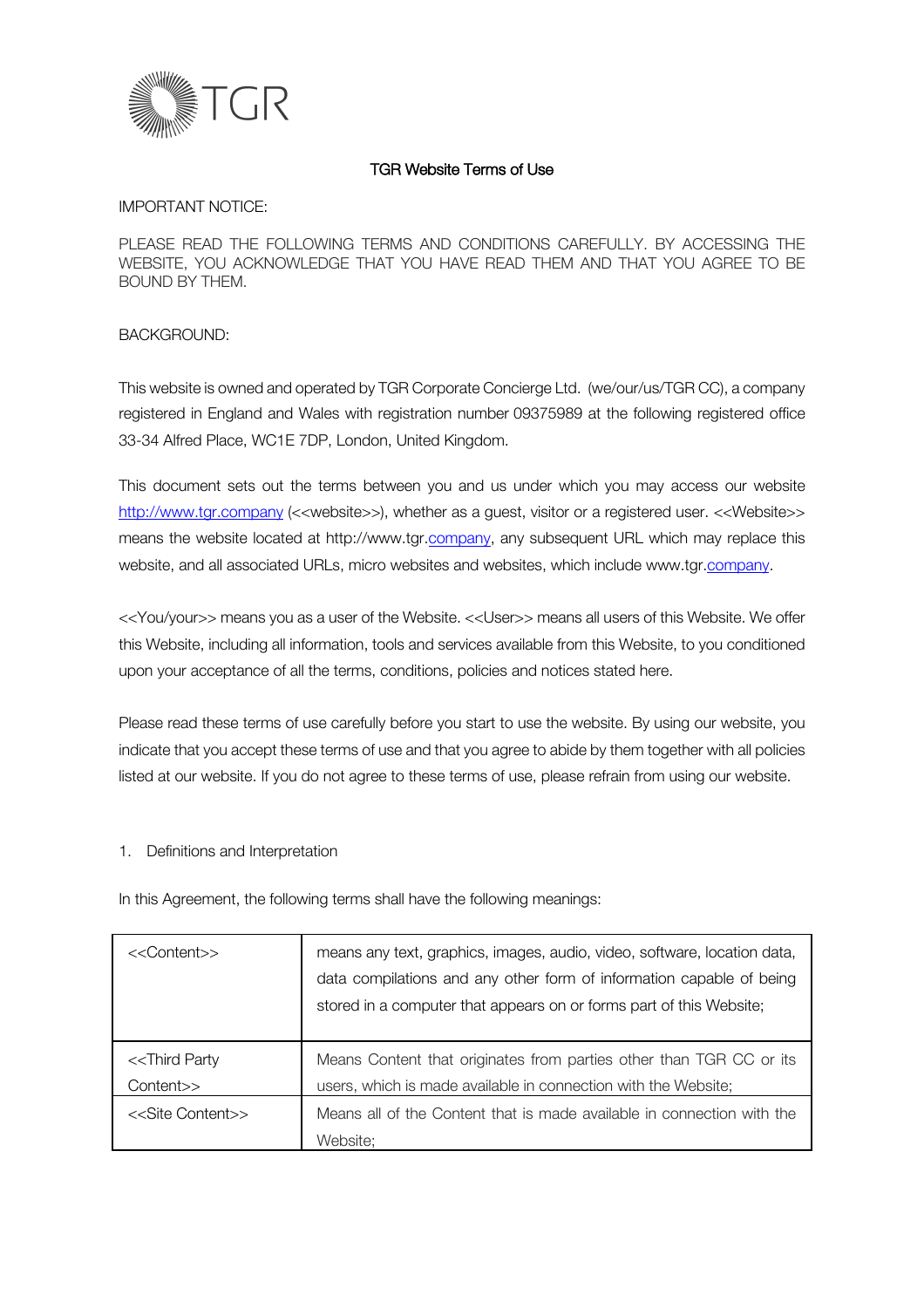

### TGR Website Terms of Use

IMPORTANT NOTICE:

PLEASE READ THE FOLLOWING TERMS AND CONDITIONS CAREFULLY. BY ACCESSING THE WEBSITE, YOU ACKNOWLEDGE THAT YOU HAVE READ THEM AND THAT YOU AGREE TO BE BOUND BY THEM.

#### BACKGROUND:

This website is owned and operated by TGR Corporate Concierge Ltd. (we/our/us/TGR CC), a company registered in England and Wales with registration number 09375989 at the following registered office 33-34 Alfred Place, WC1E 7DP, London, United Kingdom.

This document sets out the terms between you and us under which you may access our website http://www.tgr.company (<<website>>), whether as a guest, visitor or a registered user. <<Website>> means the website located at http://www.tgr.company, any subsequent URL which may replace this website, and all associated URLs, micro websites and websites, which include www.tgr.company.

<<You/your>> means you as a user of the Website. <<User>> means all users of this Website. We offer this Website, including all information, tools and services available from this Website, to you conditioned upon your acceptance of all the terms, conditions, policies and notices stated here.

Please read these terms of use carefully before you start to use the website. By using our website, you indicate that you accept these terms of use and that you agree to abide by them together with all policies listed at our website. If you do not agree to these terms of use, please refrain from using our website.

#### 1. Definitions and Interpretation

In this Agreement, the following terms shall have the following meanings:

| < <content>&gt;</content>                    | means any text, graphics, images, audio, video, software, location data,<br>data compilations and any other form of information capable of being<br>stored in a computer that appears on or forms part of this Website; |
|----------------------------------------------|-------------------------------------------------------------------------------------------------------------------------------------------------------------------------------------------------------------------------|
| < <third party<br="">Content&gt;&gt;</third> | Means Content that originates from parties other than TGR CC or its<br>users, which is made available in connection with the Website;                                                                                   |
| < <site content="">&gt;</site>               | Means all of the Content that is made available in connection with the<br>Website:                                                                                                                                      |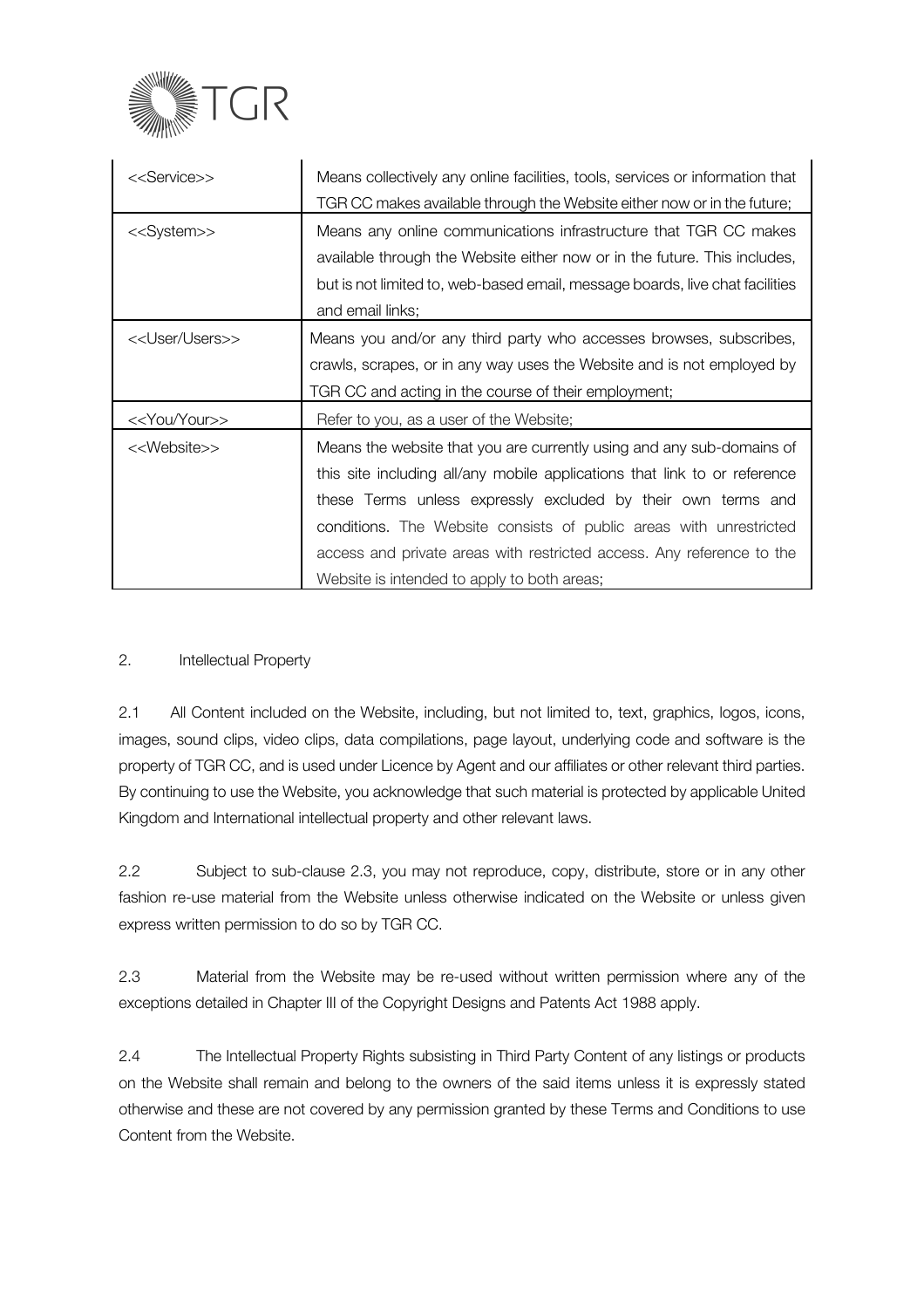

| < <service>&gt;</service>    | Means collectively any online facilities, tools, services or information that<br>TGR CC makes available through the Website either now or in the future;                                                                                                                                                                                                                                                         |
|------------------------------|------------------------------------------------------------------------------------------------------------------------------------------------------------------------------------------------------------------------------------------------------------------------------------------------------------------------------------------------------------------------------------------------------------------|
| < <system>&gt;</system>      | Means any online communications infrastructure that TGR CC makes<br>available through the Website either now or in the future. This includes,<br>but is not limited to, web-based email, message boards, live chat facilities<br>and email links;                                                                                                                                                                |
| < <user users="">&gt;</user> | Means you and/or any third party who accesses browses, subscribes,<br>crawls, scrapes, or in any way uses the Website and is not employed by<br>TGR CC and acting in the course of their employment;                                                                                                                                                                                                             |
| < <you your="">&gt;</you>    | Refer to you, as a user of the Website;                                                                                                                                                                                                                                                                                                                                                                          |
| < <website>&gt;</website>    | Means the website that you are currently using and any sub-domains of<br>this site including all/any mobile applications that link to or reference<br>these Terms unless expressly excluded by their own terms and<br>conditions. The Website consists of public areas with unrestricted<br>access and private areas with restricted access. Any reference to the<br>Website is intended to apply to both areas; |

# 2. Intellectual Property

2.1 All Content included on the Website, including, but not limited to, text, graphics, logos, icons, images, sound clips, video clips, data compilations, page layout, underlying code and software is the property of TGR CC, and is used under Licence by Agent and our affiliates or other relevant third parties. By continuing to use the Website, you acknowledge that such material is protected by applicable United Kingdom and International intellectual property and other relevant laws.

2.2 Subject to sub-clause 2.3, you may not reproduce, copy, distribute, store or in any other fashion re-use material from the Website unless otherwise indicated on the Website or unless given express written permission to do so by TGR CC.

2.3 Material from the Website may be re-used without written permission where any of the exceptions detailed in Chapter III of the Copyright Designs and Patents Act 1988 apply.

2.4 The Intellectual Property Rights subsisting in Third Party Content of any listings or products on the Website shall remain and belong to the owners of the said items unless it is expressly stated otherwise and these are not covered by any permission granted by these Terms and Conditions to use Content from the Website.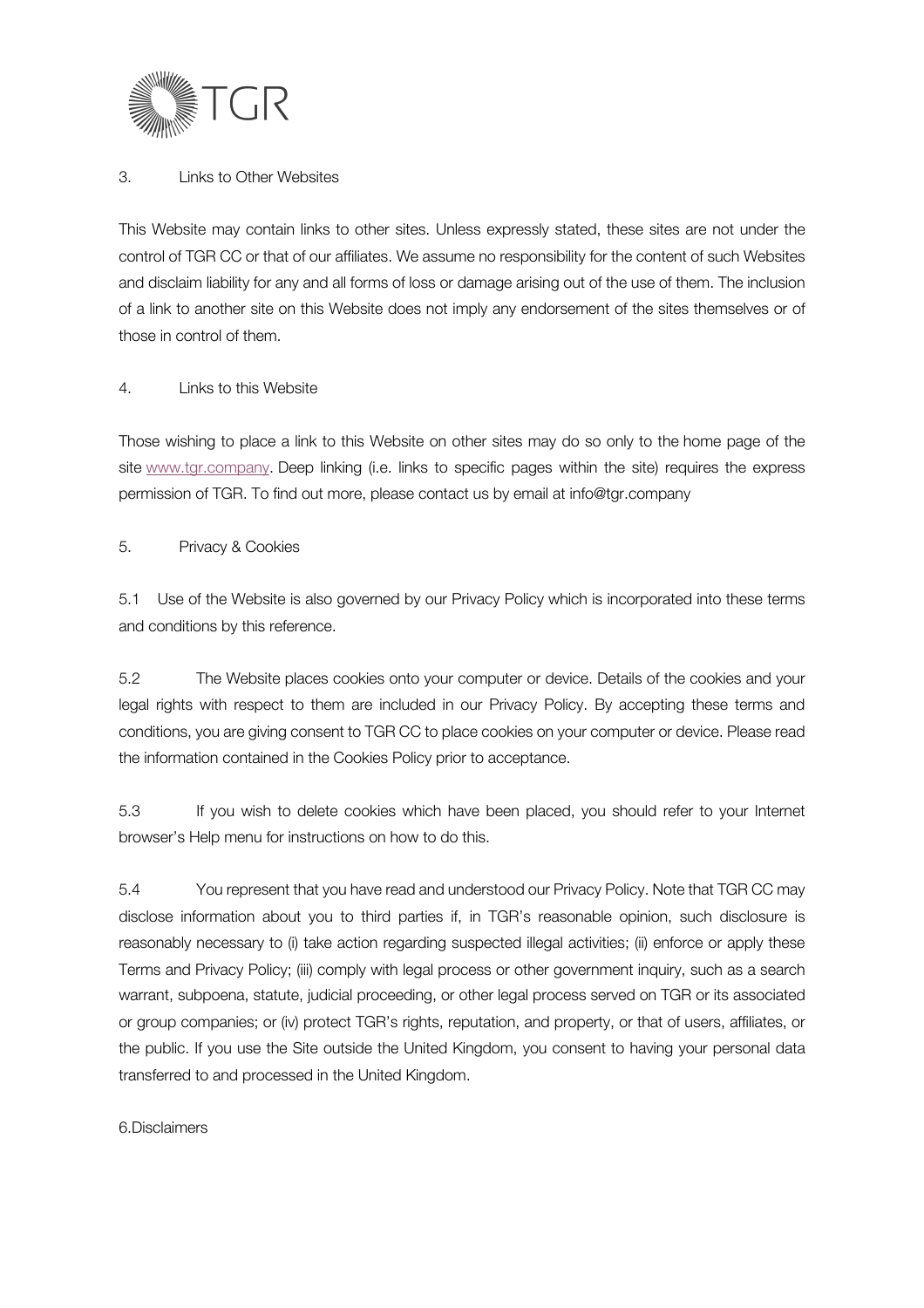

### 3. Links to Other Websites

This Website may contain links to other sites. Unless expressly stated, these sites are not under the control of TGR CC or that of our affiliates. We assume no responsibility for the content of such Websites and disclaim liability for any and all forms of loss or damage arising out of the use of them. The inclusion of a link to another site on this Website does not imply any endorsement of the sites themselves or of those in control of them.

### 4. Links to this Website

Those wishing to place a link to this Website on other sites may do so only to the home page of the site www.tgr.company. Deep linking (i.e. links to specific pages within the site) requires the express permission of TGR. To find out more, please contact us by email at info@tgr.company

### 5. Privacy & Cookies

5.1 Use of the Website is also governed by our Privacy Policy which is incorporated into these terms and conditions by this reference.

5.2 The Website places cookies onto your computer or device. Details of the cookies and your legal rights with respect to them are included in our Privacy Policy. By accepting these terms and conditions, you are giving consent to TGR CC to place cookies on your computer or device. Please read the information contained in the Cookies Policy prior to acceptance.

5.3 If you wish to delete cookies which have been placed, you should refer to your Internet browser's Help menu for instructions on how to do this.

5.4 You represent that you have read and understood our Privacy Policy. Note that TGR CC may disclose information about you to third parties if, in TGR's reasonable opinion, such disclosure is reasonably necessary to (i) take action regarding suspected illegal activities; (ii) enforce or apply these Terms and Privacy Policy; (iii) comply with legal process or other government inquiry, such as a search warrant, subpoena, statute, judicial proceeding, or other legal process served on TGR or its associated or group companies; or (iv) protect TGR's rights, reputation, and property, or that of users, affiliates, or the public. If you use the Site outside the United Kingdom, you consent to having your personal data transferred to and processed in the United Kingdom.

#### 6.Disclaimers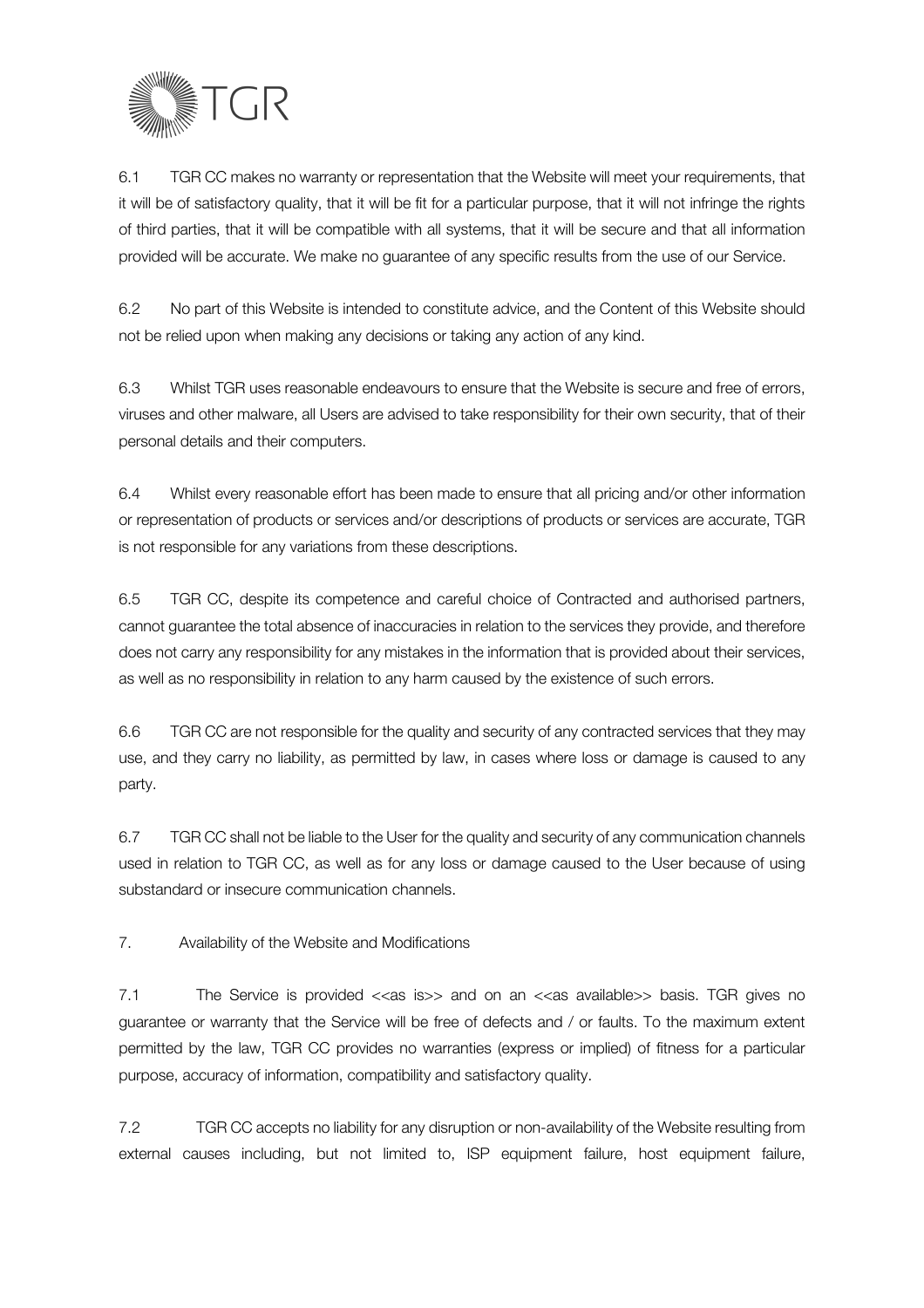

6.1 TGR CC makes no warranty or representation that the Website will meet your requirements, that it will be of satisfactory quality, that it will be fit for a particular purpose, that it will not infringe the rights of third parties, that it will be compatible with all systems, that it will be secure and that all information provided will be accurate. We make no guarantee of any specific results from the use of our Service.

6.2 No part of this Website is intended to constitute advice, and the Content of this Website should not be relied upon when making any decisions or taking any action of any kind.

6.3 Whilst TGR uses reasonable endeavours to ensure that the Website is secure and free of errors, viruses and other malware, all Users are advised to take responsibility for their own security, that of their personal details and their computers.

6.4 Whilst every reasonable effort has been made to ensure that all pricing and/or other information or representation of products or services and/or descriptions of products or services are accurate, TGR is not responsible for any variations from these descriptions.

6.5 TGR CC, despite its competence and careful choice of Contracted and authorised partners, cannot guarantee the total absence of inaccuracies in relation to the services they provide, and therefore does not carry any responsibility for any mistakes in the information that is provided about their services, as well as no responsibility in relation to any harm caused by the existence of such errors.

6.6 TGR CC are not responsible for the quality and security of any contracted services that they may use, and they carry no liability, as permitted by law, in cases where loss or damage is caused to any party.

6.7 TGR CC shall not be liable to the User for the quality and security of any communication channels used in relation to TGR CC, as well as for any loss or damage caused to the User because of using substandard or insecure communication channels.

7. Availability of the Website and Modifications

7.1 The Service is provided <<as is>> and on an <<as available>> basis. TGR gives no guarantee or warranty that the Service will be free of defects and / or faults. To the maximum extent permitted by the law, TGR CC provides no warranties (express or implied) of fitness for a particular purpose, accuracy of information, compatibility and satisfactory quality.

7.2 TGR CC accepts no liability for any disruption or non-availability of the Website resulting from external causes including, but not limited to, ISP equipment failure, host equipment failure,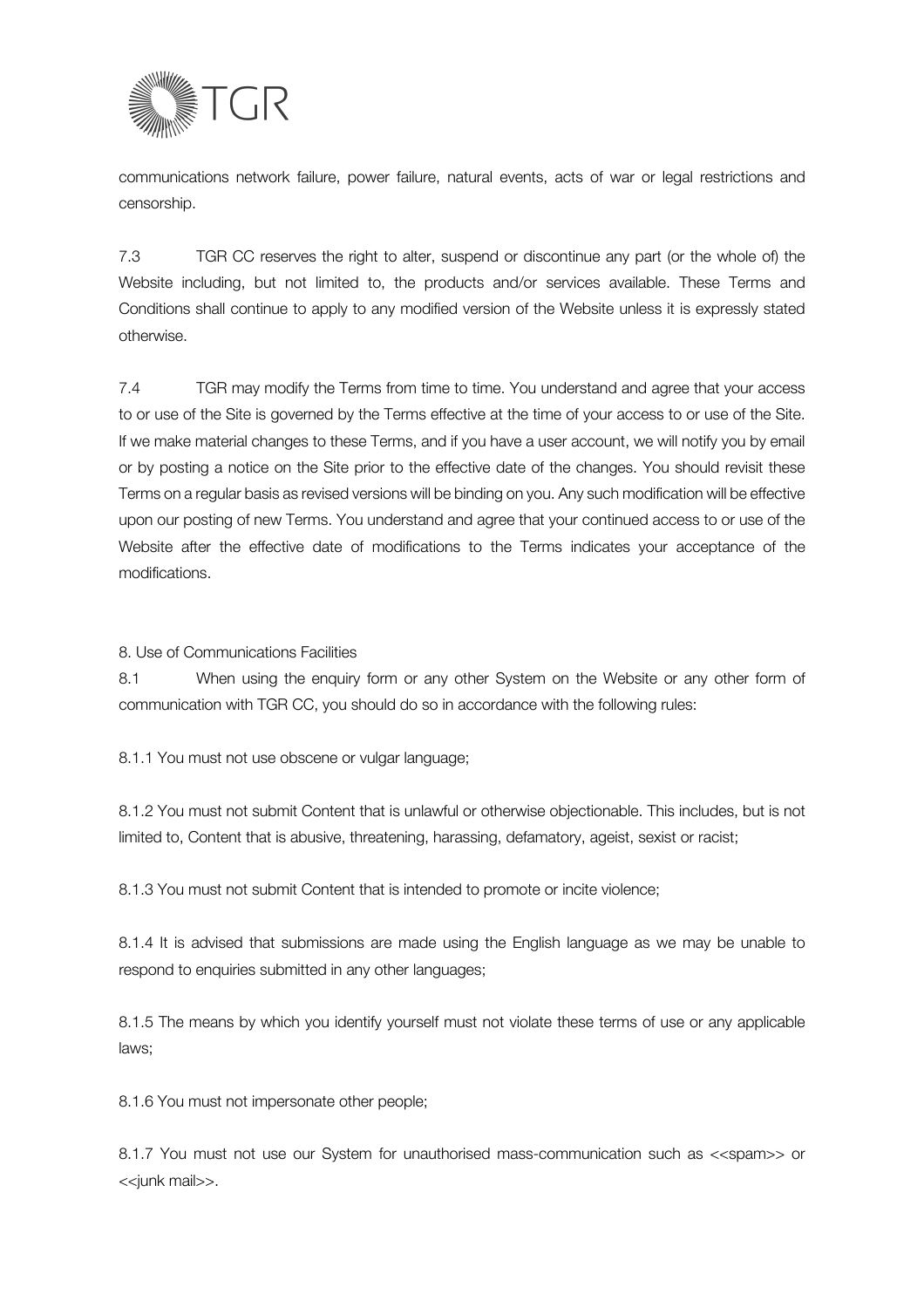

communications network failure, power failure, natural events, acts of war or legal restrictions and censorship.

7.3 TGR CC reserves the right to alter, suspend or discontinue any part (or the whole of) the Website including, but not limited to, the products and/or services available. These Terms and Conditions shall continue to apply to any modified version of the Website unless it is expressly stated otherwise.

7.4 TGR may modify the Terms from time to time. You understand and agree that your access to or use of the Site is governed by the Terms effective at the time of your access to or use of the Site. If we make material changes to these Terms, and if you have a user account, we will notify you by email or by posting a notice on the Site prior to the effective date of the changes. You should revisit these Terms on a regular basis as revised versions will be binding on you. Any such modification will be effective upon our posting of new Terms. You understand and agree that your continued access to or use of the Website after the effective date of modifications to the Terms indicates your acceptance of the modifications.

8. Use of Communications Facilities

8.1 When using the enquiry form or any other System on the Website or any other form of communication with TGR CC, you should do so in accordance with the following rules:

8.1.1 You must not use obscene or vulgar language;

8.1.2 You must not submit Content that is unlawful or otherwise objectionable. This includes, but is not limited to, Content that is abusive, threatening, harassing, defamatory, ageist, sexist or racist;

8.1.3 You must not submit Content that is intended to promote or incite violence;

8.1.4 It is advised that submissions are made using the English language as we may be unable to respond to enquiries submitted in any other languages;

8.1.5 The means by which you identify yourself must not violate these terms of use or any applicable laws;

8.1.6 You must not impersonate other people;

8.1.7 You must not use our System for unauthorised mass-communication such as <<spam>> or <<junk mail>>.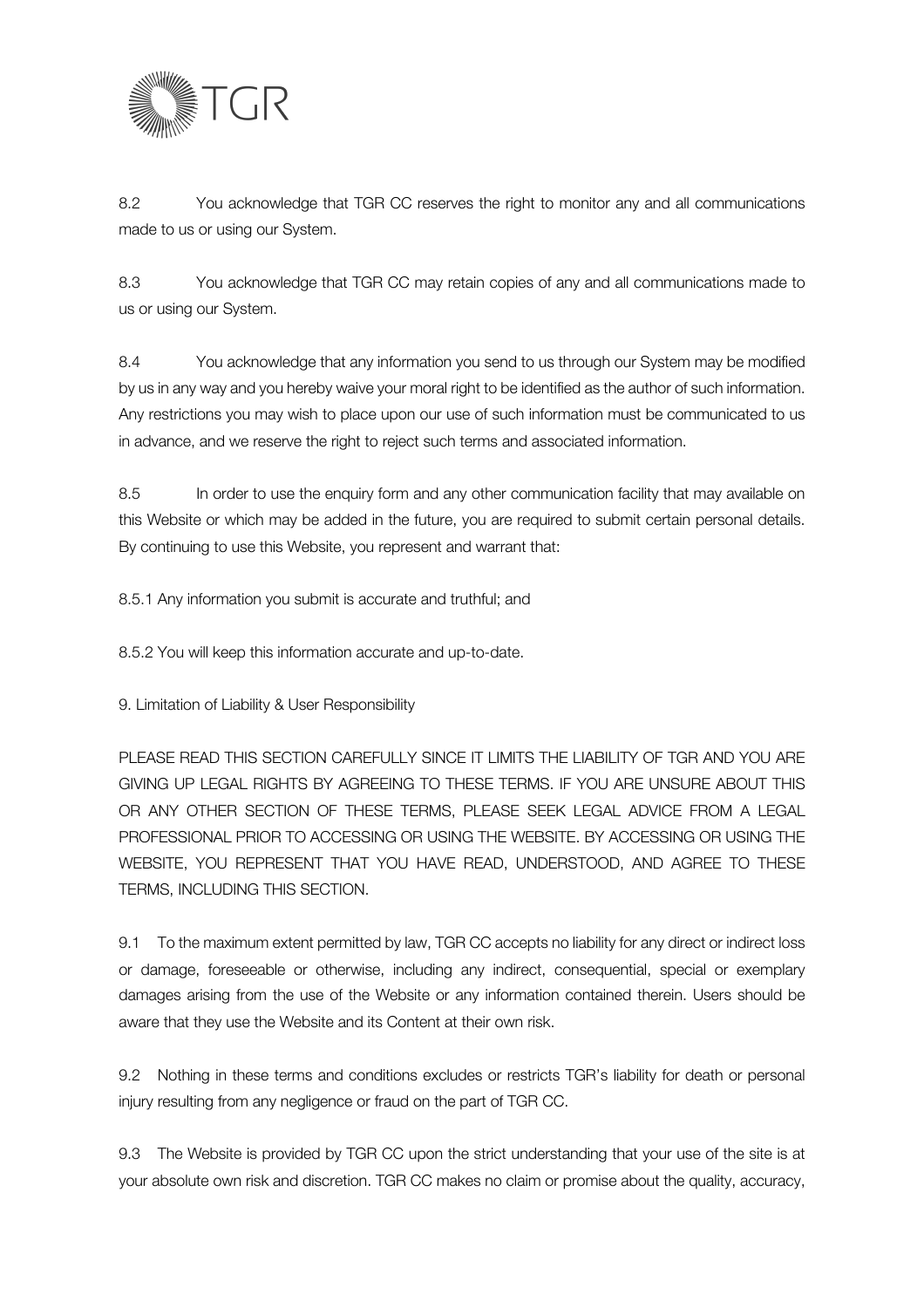

8.2 You acknowledge that TGR CC reserves the right to monitor any and all communications made to us or using our System.

8.3 You acknowledge that TGR CC may retain copies of any and all communications made to us or using our System.

8.4 You acknowledge that any information you send to us through our System may be modified by us in any way and you hereby waive your moral right to be identified as the author of such information. Any restrictions you may wish to place upon our use of such information must be communicated to us in advance, and we reserve the right to reject such terms and associated information.

8.5 In order to use the enquiry form and any other communication facility that may available on this Website or which may be added in the future, you are required to submit certain personal details. By continuing to use this Website, you represent and warrant that:

8.5.1 Any information you submit is accurate and truthful; and

8.5.2 You will keep this information accurate and up-to-date.

9. Limitation of Liability & User Responsibility

PLEASE READ THIS SECTION CAREFULLY SINCE IT LIMITS THE LIABILITY OF TGR AND YOU ARE GIVING UP LEGAL RIGHTS BY AGREEING TO THESE TERMS. IF YOU ARE UNSURE ABOUT THIS OR ANY OTHER SECTION OF THESE TERMS, PLEASE SEEK LEGAL ADVICE FROM A LEGAL PROFESSIONAL PRIOR TO ACCESSING OR USING THE WEBSITE. BY ACCESSING OR USING THE WEBSITE, YOU REPRESENT THAT YOU HAVE READ, UNDERSTOOD, AND AGREE TO THESE TERMS, INCLUDING THIS SECTION.

9.1 To the maximum extent permitted by law, TGR CC accepts no liability for any direct or indirect loss or damage, foreseeable or otherwise, including any indirect, consequential, special or exemplary damages arising from the use of the Website or any information contained therein. Users should be aware that they use the Website and its Content at their own risk.

9.2 Nothing in these terms and conditions excludes or restricts TGR's liability for death or personal injury resulting from any negligence or fraud on the part of TGR CC.

9.3 The Website is provided by TGR CC upon the strict understanding that your use of the site is at your absolute own risk and discretion. TGR CC makes no claim or promise about the quality, accuracy,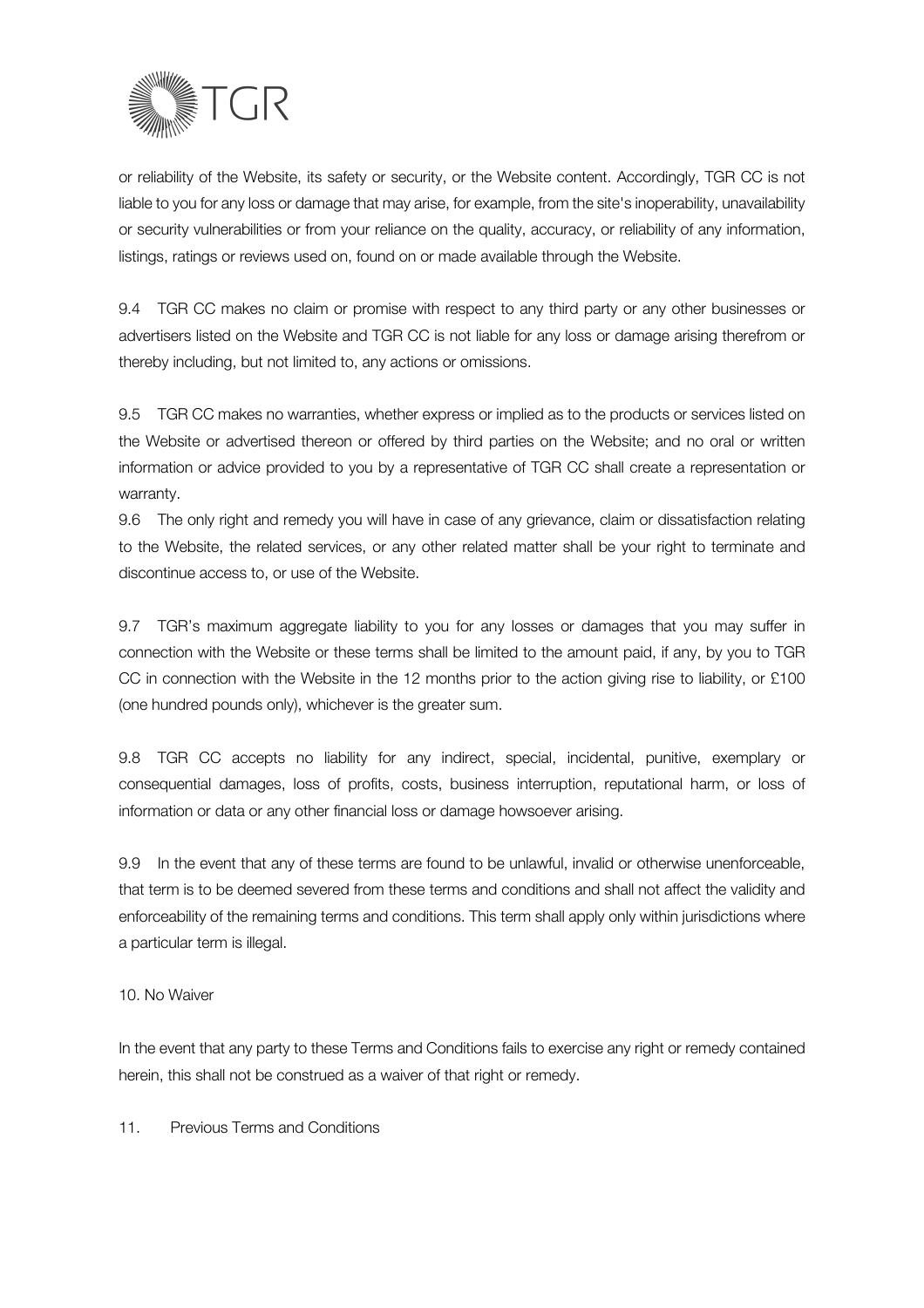

or reliability of the Website, its safety or security, or the Website content. Accordingly, TGR CC is not liable to you for any loss or damage that may arise, for example, from the site's inoperability, unavailability or security vulnerabilities or from your reliance on the quality, accuracy, or reliability of any information, listings, ratings or reviews used on, found on or made available through the Website.

9.4 TGR CC makes no claim or promise with respect to any third party or any other businesses or advertisers listed on the Website and TGR CC is not liable for any loss or damage arising therefrom or thereby including, but not limited to, any actions or omissions.

9.5 TGR CC makes no warranties, whether express or implied as to the products or services listed on the Website or advertised thereon or offered by third parties on the Website; and no oral or written information or advice provided to you by a representative of TGR CC shall create a representation or warranty.

9.6 The only right and remedy you will have in case of any grievance, claim or dissatisfaction relating to the Website, the related services, or any other related matter shall be your right to terminate and discontinue access to, or use of the Website.

9.7 TGR's maximum aggregate liability to you for any losses or damages that you may suffer in connection with the Website or these terms shall be limited to the amount paid, if any, by you to TGR CC in connection with the Website in the 12 months prior to the action giving rise to liability, or £100 (one hundred pounds only), whichever is the greater sum.

9.8 TGR CC accepts no liability for any indirect, special, incidental, punitive, exemplary or consequential damages, loss of profits, costs, business interruption, reputational harm, or loss of information or data or any other financial loss or damage howsoever arising.

9.9 In the event that any of these terms are found to be unlawful, invalid or otherwise unenforceable, that term is to be deemed severed from these terms and conditions and shall not affect the validity and enforceability of the remaining terms and conditions. This term shall apply only within jurisdictions where a particular term is illegal.

#### 10. No Waiver

In the event that any party to these Terms and Conditions fails to exercise any right or remedy contained herein, this shall not be construed as a waiver of that right or remedy.

11. Previous Terms and Conditions